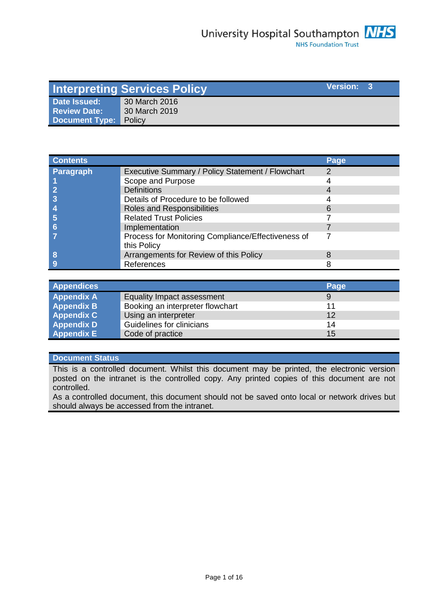|                              | <b>Interpreting Services Policy</b> | <b>Version:</b> 3 |  |
|------------------------------|-------------------------------------|-------------------|--|
| Date Issued:                 | 30 March 2016                       |                   |  |
| <b>Review Date:</b>          | 30 March 2019                       |                   |  |
| <b>Document Type: Policy</b> |                                     |                   |  |

| <b>Contents</b>  |                                                                   | Page |
|------------------|-------------------------------------------------------------------|------|
| <b>Paragraph</b> | Executive Summary / Policy Statement / Flowchart                  | 2    |
|                  | Scope and Purpose                                                 |      |
|                  | <b>Definitions</b>                                                |      |
|                  | Details of Procedure to be followed                               |      |
|                  | Roles and Responsibilities                                        |      |
|                  | <b>Related Trust Policies</b>                                     |      |
|                  | Implementation                                                    |      |
|                  | Process for Monitoring Compliance/Effectiveness of<br>this Policy |      |
| 8                | Arrangements for Review of this Policy                            |      |
|                  | References                                                        |      |

| <b>Appendices</b> |                                  | Page |
|-------------------|----------------------------------|------|
| <b>Appendix A</b> | Equality Impact assessment       | 9    |
| <b>Appendix B</b> | Booking an interpreter flowchart | 11   |
| <b>Appendix C</b> | Using an interpreter             | 12   |
| <b>Appendix D</b> | Guidelines for clinicians        | 14   |
| Appendix E        | Code of practice                 | 15   |

### **Document Status**

This is a controlled document. Whilst this document may be printed, the electronic version posted on the intranet is the controlled copy. Any printed copies of this document are not controlled.

As a controlled document, this document should not be saved onto local or network drives but should always be accessed from the intranet.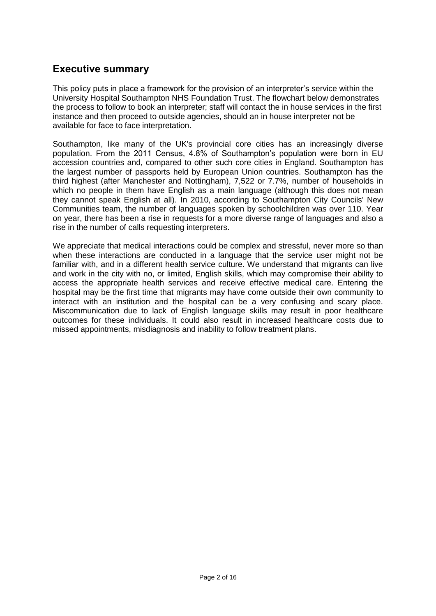### **Executive summary**

This policy puts in place a framework for the provision of an interpreter's service within the University Hospital Southampton NHS Foundation Trust. The flowchart below demonstrates the process to follow to book an interpreter; staff will contact the in house services in the first instance and then proceed to outside agencies, should an in house interpreter not be available for face to face interpretation.

Southampton, like many of the UK's provincial core cities has an increasingly diverse population. From the 2011 Census, 4.8% of Southampton's population were born in EU accession countries and, compared to other such core cities in England. Southampton has the largest number of passports held by European Union countries. Southampton has the third highest (after Manchester and Nottingham), 7,522 or 7.7%, number of households in which no people in them have English as a main language (although this does not mean they cannot speak English at all). In 2010, according to Southampton City Councils' New Communities team, the number of languages spoken by schoolchildren was over 110. Year on year, there has been a rise in requests for a more diverse range of languages and also a rise in the number of calls requesting interpreters.

We appreciate that medical interactions could be complex and stressful, never more so than when these interactions are conducted in a language that the service user might not be familiar with, and in a different health service culture. We understand that migrants can live and work in the city with no, or limited, English skills, which may compromise their ability to access the appropriate health services and receive effective medical care. Entering the hospital may be the first time that migrants may have come outside their own community to interact with an institution and the hospital can be a very confusing and scary place. Miscommunication due to lack of English language skills may result in poor healthcare outcomes for these individuals. It could also result in increased healthcare costs due to missed appointments, misdiagnosis and inability to follow treatment plans.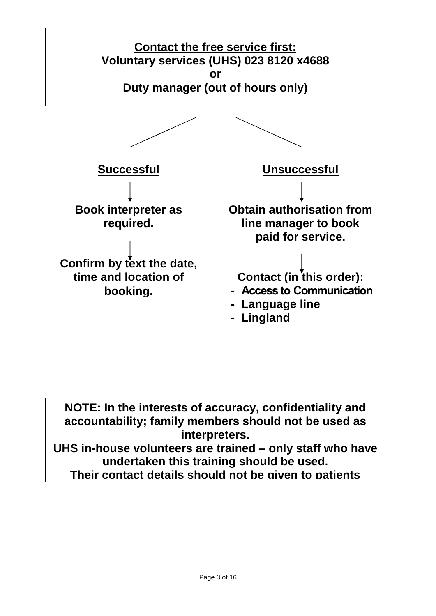

**NOTE: In the interests of accuracy, confidentiality and accountability; family members should not be used as interpreters. UHS in-house volunteers are trained – only staff who have** 

**undertaken this training should be used.**

**Their contact details should not be given to patients**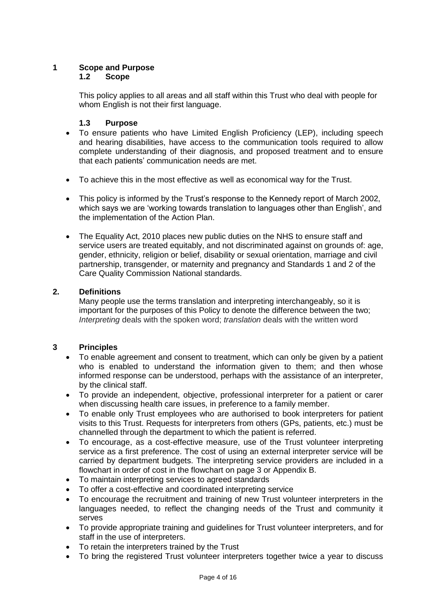# **1 Scope and Purpose**

#### **1.2 Scope**

This policy applies to all areas and all staff within this Trust who deal with people for whom English is not their first language.

#### **1.3 Purpose**

- To ensure patients who have Limited English Proficiency (LEP), including speech and hearing disabilities, have access to the communication tools required to allow complete understanding of their diagnosis, and proposed treatment and to ensure that each patients' communication needs are met.
- To achieve this in the most effective as well as economical way for the Trust.
- This policy is informed by the Trust's response to the Kennedy report of March 2002, which says we are 'working towards translation to languages other than English', and the implementation of the Action Plan.
- The Equality Act, 2010 places new public duties on the NHS to ensure staff and service users are treated equitably, and not discriminated against on grounds of: age, gender, ethnicity, religion or belief, disability or sexual orientation, marriage and civil partnership, transgender, or maternity and pregnancy and Standards 1 and 2 of the Care Quality Commission National standards.

#### **2. Definitions**

Many people use the terms translation and interpreting interchangeably, so it is important for the purposes of this Policy to denote the difference between the two; *Interpreting* deals with the spoken word; *translation* deals with the written word

#### **3 Principles**

- To enable agreement and consent to treatment, which can only be given by a patient who is enabled to understand the information given to them; and then whose informed response can be understood, perhaps with the assistance of an interpreter, by the clinical staff.
- To provide an independent, objective, professional interpreter for a patient or carer when discussing health care issues, in preference to a family member.
- To enable only Trust employees who are authorised to book interpreters for patient visits to this Trust. Requests for interpreters from others (GPs, patients, etc.) must be channelled through the department to which the patient is referred.
- To encourage, as a cost-effective measure, use of the Trust volunteer interpreting service as a first preference. The cost of using an external interpreter service will be carried by department budgets. The interpreting service providers are included in a flowchart in order of cost in the flowchart on page 3 or Appendix B.
- To maintain interpreting services to agreed standards
- To offer a cost-effective and coordinated interpreting service
- To encourage the recruitment and training of new Trust volunteer interpreters in the languages needed, to reflect the changing needs of the Trust and community it serves
- To provide appropriate training and guidelines for Trust volunteer interpreters, and for staff in the use of interpreters.
- To retain the interpreters trained by the Trust
- To bring the registered Trust volunteer interpreters together twice a year to discuss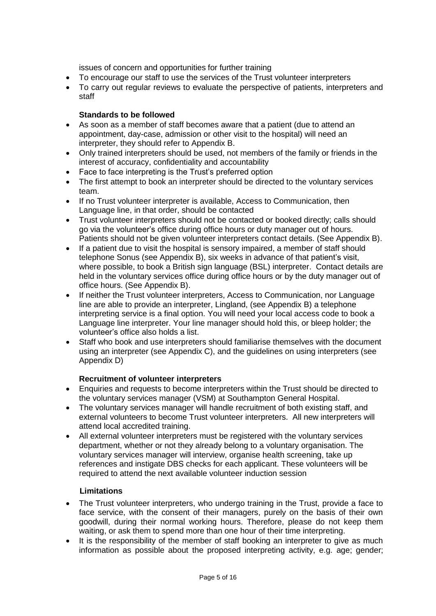issues of concern and opportunities for further training

- To encourage our staff to use the services of the Trust volunteer interpreters
- To carry out regular reviews to evaluate the perspective of patients, interpreters and staff

#### **Standards to be followed**

- As soon as a member of staff becomes aware that a patient (due to attend an appointment, day-case, admission or other visit to the hospital) will need an interpreter, they should refer to Appendix B.
- Only trained interpreters should be used, not members of the family or friends in the interest of accuracy, confidentiality and accountability
- Face to face interpreting is the Trust's preferred option
- The first attempt to book an interpreter should be directed to the voluntary services team.
- If no Trust volunteer interpreter is available, Access to Communication, then Language line, in that order, should be contacted
- Trust volunteer interpreters should not be contacted or booked directly; calls should go via the volunteer's office during office hours or duty manager out of hours. Patients should not be given volunteer interpreters contact details. (See Appendix B).
- If a patient due to visit the hospital is sensory impaired, a member of staff should telephone Sonus (see Appendix B), six weeks in advance of that patient's visit, where possible, to book a British sign language (BSL) interpreter. Contact details are held in the voluntary services office during office hours or by the duty manager out of office hours. (See Appendix B).
- If neither the Trust volunteer interpreters, Access to Communication, nor Language line are able to provide an interpreter, Lingland, (see Appendix B) a telephone interpreting service is a final option. You will need your local access code to book a Language line interpreter. Your line manager should hold this, or bleep holder; the volunteer's office also holds a list.
- Staff who book and use interpreters should familiarise themselves with the document using an interpreter (see Appendix C), and the guidelines on using interpreters (see Appendix D)

#### **Recruitment of volunteer interpreters**

- Enquiries and requests to become interpreters within the Trust should be directed to the voluntary services manager (VSM) at Southampton General Hospital.
- The voluntary services manager will handle recruitment of both existing staff, and external volunteers to become Trust volunteer interpreters. All new interpreters will attend local accredited training.
- All external volunteer interpreters must be registered with the voluntary services department, whether or not they already belong to a voluntary organisation. The voluntary services manager will interview, organise health screening, take up references and instigate DBS checks for each applicant. These volunteers will be required to attend the next available volunteer induction session

#### **Limitations**

- The Trust volunteer interpreters, who undergo training in the Trust, provide a face to face service, with the consent of their managers, purely on the basis of their own goodwill, during their normal working hours. Therefore, please do not keep them waiting, or ask them to spend more than one hour of their time interpreting.
- It is the responsibility of the member of staff booking an interpreter to give as much information as possible about the proposed interpreting activity, e.g. age; gender;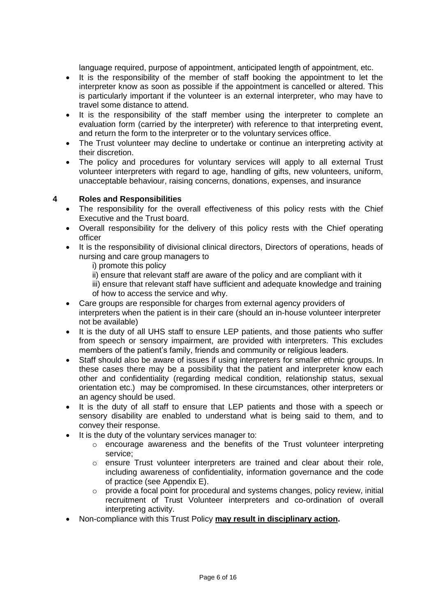language required, purpose of appointment, anticipated length of appointment, etc.

- It is the responsibility of the member of staff booking the appointment to let the interpreter know as soon as possible if the appointment is cancelled or altered. This is particularly important if the volunteer is an external interpreter, who may have to travel some distance to attend.
- It is the responsibility of the staff member using the interpreter to complete an evaluation form (carried by the interpreter) with reference to that interpreting event, and return the form to the interpreter or to the voluntary services office.
- The Trust volunteer may decline to undertake or continue an interpreting activity at their discretion.
- The policy and procedures for voluntary services will apply to all external Trust volunteer interpreters with regard to age, handling of gifts, new volunteers, uniform, unacceptable behaviour, raising concerns, donations, expenses, and insurance

#### **4 Roles and Responsibilities**

- The responsibility for the overall effectiveness of this policy rests with the Chief Executive and the Trust board.
- Overall responsibility for the delivery of this policy rests with the Chief operating officer
- It is the responsibility of divisional clinical directors, Directors of operations, heads of nursing and care group managers to

i) promote this policy

- ii) ensure that relevant staff are aware of the policy and are compliant with it
- iii) ensure that relevant staff have sufficient and adequate knowledge and training of how to access the service and why.
- Care groups are responsible for charges from external agency providers of interpreters when the patient is in their care (should an in-house volunteer interpreter not be available)
- It is the duty of all UHS staff to ensure LEP patients, and those patients who suffer from speech or sensory impairment, are provided with interpreters. This excludes members of the patient's family, friends and community or religious leaders.
- Staff should also be aware of issues if using interpreters for smaller ethnic groups. In these cases there may be a possibility that the patient and interpreter know each other and confidentiality (regarding medical condition, relationship status, sexual orientation etc.) may be compromised. In these circumstances, other interpreters or an agency should be used.
- It is the duty of all staff to ensure that LEP patients and those with a speech or sensory disability are enabled to understand what is being said to them, and to convey their response.
- It is the duty of the voluntary services manager to:
	- o encourage awareness and the benefits of the Trust volunteer interpreting service;
	- $\circ$  ensure Trust volunteer interpreters are trained and clear about their role, including awareness of confidentiality, information governance and the code of practice (see Appendix E).
	- o provide a focal point for procedural and systems changes, policy review, initial recruitment of Trust Volunteer interpreters and co-ordination of overall interpreting activity.
- Non-compliance with this Trust Policy **may result in disciplinary action.**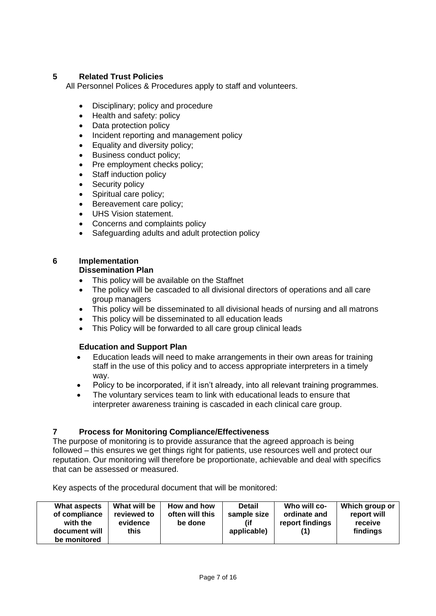#### **5 Related Trust Policies**

All Personnel Polices & Procedures apply to staff and volunteers.

- Disciplinary; policy and procedure
- Health and safety: policy
- Data protection policy
- Incident reporting and management policy
- Equality and diversity policy;
- Business conduct policy;
- Pre employment checks policy;
- Staff induction policy
- Security policy
- Spiritual care policy;
- Bereavement care policy;
- UHS Vision statement.
- Concerns and complaints policy
- Safeguarding adults and adult protection policy

### **6 Implementation**

#### **Dissemination Plan**

- This policy will be available on the Staffnet
- The policy will be cascaded to all divisional directors of operations and all care group managers
- This policy will be disseminated to all divisional heads of nursing and all matrons
- This policy will be disseminated to all education leads
- This Policy will be forwarded to all care group clinical leads

#### **Education and Support Plan**

- Education leads will need to make arrangements in their own areas for training staff in the use of this policy and to access appropriate interpreters in a timely way.
- Policy to be incorporated, if it isn't already, into all relevant training programmes.
- The voluntary services team to link with educational leads to ensure that interpreter awareness training is cascaded in each clinical care group.

#### **7 Process for Monitoring Compliance/Effectiveness**

The purpose of monitoring is to provide assurance that the agreed approach is being followed – this ensures we get things right for patients, use resources well and protect our reputation. Our monitoring will therefore be proportionate, achievable and deal with specifics that can be assessed or measured.

Key aspects of the procedural document that will be monitored:

| What aspects<br>of compliance<br>with the<br>document will<br>be monitored | What will be<br>reviewed to<br>evidence<br>this | How and how<br>often will this<br>be done | <b>Detail</b><br>sample size<br>applicable) | Who will co-<br>ordinate and<br>report findings | Which group or<br>report will<br>receive<br>findings |
|----------------------------------------------------------------------------|-------------------------------------------------|-------------------------------------------|---------------------------------------------|-------------------------------------------------|------------------------------------------------------|
|----------------------------------------------------------------------------|-------------------------------------------------|-------------------------------------------|---------------------------------------------|-------------------------------------------------|------------------------------------------------------|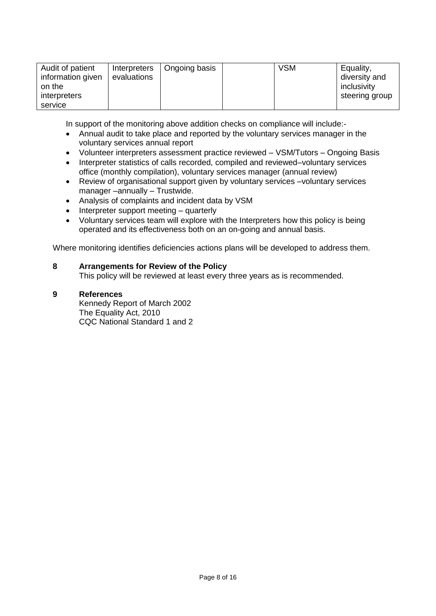| Audit of patient<br>Interpreters<br>information given<br>evaluations<br>on the<br>interpreters<br>service | Ongoing basis | <b>VSM</b> | Equality,<br>diversity and<br>inclusivity<br>steering group |
|-----------------------------------------------------------------------------------------------------------|---------------|------------|-------------------------------------------------------------|
|-----------------------------------------------------------------------------------------------------------|---------------|------------|-------------------------------------------------------------|

In support of the monitoring above addition checks on compliance will include:-

- Annual audit to take place and reported by the voluntary services manager in the voluntary services annual report
- Volunteer interpreters assessment practice reviewed VSM/Tutors Ongoing Basis
- Interpreter statistics of calls recorded, compiled and reviewed–voluntary services office (monthly compilation), voluntary services manager (annual review)
- Review of organisational support given by voluntary services –voluntary services manager –annually – Trustwide.
- Analysis of complaints and incident data by VSM
- Interpreter support meeting quarterly
- Voluntary services team will explore with the Interpreters how this policy is being operated and its effectiveness both on an on-going and annual basis.

Where monitoring identifies deficiencies actions plans will be developed to address them.

#### **8 Arrangements for Review of the Policy**

This policy will be reviewed at least every three years as is recommended.

#### **9 References**

Kennedy Report of March 2002 The Equality Act, 2010 CQC National Standard 1 and 2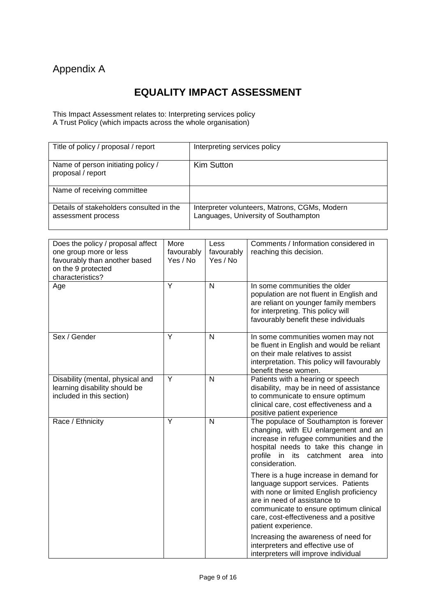## Appendix A

## **EQUALITY IMPACT ASSESSMENT**

This Impact Assessment relates to: Interpreting services policy A Trust Policy (which impacts across the whole organisation)

| Title of policy / proposal / report                            | Interpreting services policy                                                          |
|----------------------------------------------------------------|---------------------------------------------------------------------------------------|
| Name of person initiating policy /<br>proposal / report        | Kim Sutton                                                                            |
| Name of receiving committee                                    |                                                                                       |
| Details of stakeholders consulted in the<br>assessment process | Interpreter volunteers, Matrons, CGMs, Modern<br>Languages, University of Southampton |

| Does the policy / proposal affect<br>one group more or less<br>favourably than another based<br>on the 9 protected<br>characteristics? | More<br>favourably<br>Yes / No | Less<br>favourably<br>Yes / No | Comments / Information considered in<br>reaching this decision.                                                                                                                                                                                                       |
|----------------------------------------------------------------------------------------------------------------------------------------|--------------------------------|--------------------------------|-----------------------------------------------------------------------------------------------------------------------------------------------------------------------------------------------------------------------------------------------------------------------|
| Age                                                                                                                                    | Y                              | N                              | In some communities the older<br>population are not fluent in English and<br>are reliant on younger family members<br>for interpreting. This policy will<br>favourably benefit these individuals                                                                      |
| Sex / Gender                                                                                                                           | Y                              | N                              | In some communities women may not<br>be fluent in English and would be reliant<br>on their male relatives to assist<br>interpretation. This policy will favourably<br>benefit these women.                                                                            |
| Disability (mental, physical and<br>learning disability should be<br>included in this section)                                         | Ÿ                              | N                              | Patients with a hearing or speech<br>disability, may be in need of assistance<br>to communicate to ensure optimum<br>clinical care, cost effectiveness and a<br>positive patient experience                                                                           |
| Race / Ethnicity                                                                                                                       | Y                              | $\mathsf{N}$                   | The populace of Southampton is forever<br>changing, with EU enlargement and an<br>increase in refugee communities and the<br>hospital needs to take this change in<br>profile in its catchment area into<br>consideration.                                            |
|                                                                                                                                        |                                |                                | There is a huge increase in demand for<br>language support services. Patients<br>with none or limited English proficiency<br>are in need of assistance to<br>communicate to ensure optimum clinical<br>care, cost-effectiveness and a positive<br>patient experience. |
|                                                                                                                                        |                                |                                | Increasing the awareness of need for<br>interpreters and effective use of<br>interpreters will improve individual                                                                                                                                                     |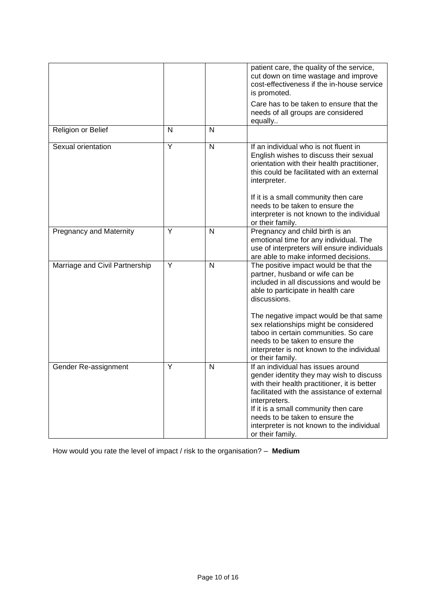|                                |                         |   | patient care, the quality of the service,<br>cut down on time wastage and improve<br>cost-effectiveness if the in-house service<br>is promoted.                                                                                                                                                                                             |
|--------------------------------|-------------------------|---|---------------------------------------------------------------------------------------------------------------------------------------------------------------------------------------------------------------------------------------------------------------------------------------------------------------------------------------------|
|                                |                         |   | Care has to be taken to ensure that the<br>needs of all groups are considered<br>equally                                                                                                                                                                                                                                                    |
| Religion or Belief             | N                       | N |                                                                                                                                                                                                                                                                                                                                             |
| Sexual orientation             | Υ                       | N | If an individual who is not fluent in<br>English wishes to discuss their sexual<br>orientation with their health practitioner,<br>this could be facilitated with an external<br>interpreter.                                                                                                                                                |
|                                |                         |   | If it is a small community then care<br>needs to be taken to ensure the<br>interpreter is not known to the individual<br>or their family.                                                                                                                                                                                                   |
| <b>Pregnancy and Maternity</b> | $\overline{\mathsf{Y}}$ | N | Pregnancy and child birth is an<br>emotional time for any individual. The<br>use of interpreters will ensure individuals<br>are able to make informed decisions.                                                                                                                                                                            |
| Marriage and Civil Partnership | Ÿ                       | N | The positive impact would be that the<br>partner, husband or wife can be<br>included in all discussions and would be<br>able to participate in health care<br>discussions.                                                                                                                                                                  |
|                                |                         |   | The negative impact would be that same<br>sex relationships might be considered<br>taboo in certain communities. So care<br>needs to be taken to ensure the<br>interpreter is not known to the individual<br>or their family.                                                                                                               |
| Gender Re-assignment           | Υ                       | N | If an individual has issues around<br>gender identity they may wish to discuss<br>with their health practitioner, it is better<br>facilitated with the assistance of external<br>interpreters.<br>If it is a small community then care<br>needs to be taken to ensure the<br>interpreter is not known to the individual<br>or their family. |

How would you rate the level of impact / risk to the organisation? – **Medium**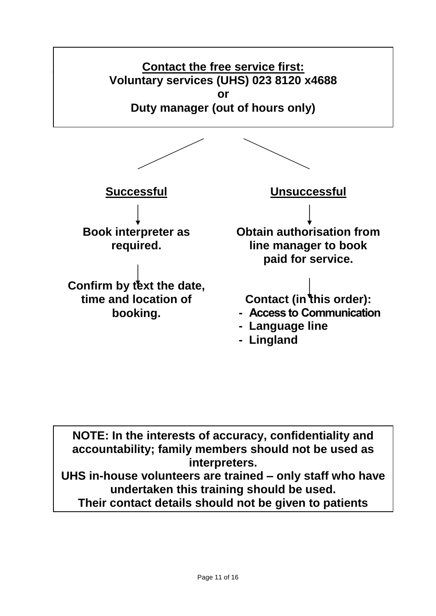

**NOTE: In the interests of accuracy, confidentiality and accountability; family members should not be used as interpreters. UHS in-house volunteers are trained – only staff who have undertaken this training should be used. Their contact details should not be given to patients**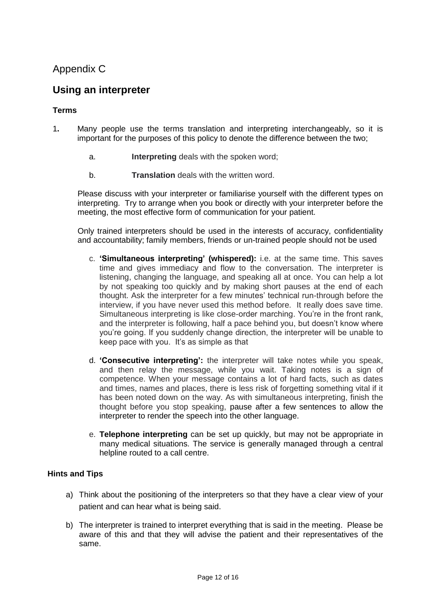### Appendix C

### **Using an interpreter**

#### **Terms**

- 1**.** Many people use the terms translation and interpreting interchangeably, so it is important for the purposes of this policy to denote the difference between the two;
	- a. **Interpreting** deals with the spoken word;
	- b. **Translation** deals with the written word.

Please discuss with your interpreter or familiarise yourself with the different types on interpreting. Try to arrange when you book or directly with your interpreter before the meeting, the most effective form of communication for your patient.

Only trained interpreters should be used in the interests of accuracy, confidentiality and accountability; family members, friends or un-trained people should not be used

- c. **'Simultaneous interpreting' (whispered):** i.e. at the same time. This saves time and gives immediacy and flow to the conversation. The interpreter is listening, changing the language, and speaking all at once. You can help a lot by not speaking too quickly and by making short pauses at the end of each thought. Ask the interpreter for a few minutes' technical run-through before the interview, if you have never used this method before. It really does save time. Simultaneous interpreting is like close-order marching. You're in the front rank, and the interpreter is following, half a pace behind you, but doesn't know where you're going. If you suddenly change direction, the interpreter will be unable to keep pace with you. It's as simple as that
- d. **'Consecutive interpreting':** the interpreter will take notes while you speak, and then relay the message, while you wait. Taking notes is a sign of competence. When your message contains a lot of hard facts, such as dates and times, names and places, there is less risk of forgetting something vital if it has been noted down on the way. As with simultaneous interpreting, finish the thought before you stop speaking, pause after a few sentences to allow the interpreter to render the speech into the other language.
- e. **Telephone interpreting** can be set up quickly, but may not be appropriate in many medical situations. The service is generally managed through a central helpline routed to a call centre.

#### **Hints and Tips**

- a) Think about the positioning of the interpreters so that they have a clear view of your patient and can hear what is being said.
- b) The interpreter is trained to interpret everything that is said in the meeting. Please be aware of this and that they will advise the patient and their representatives of the same.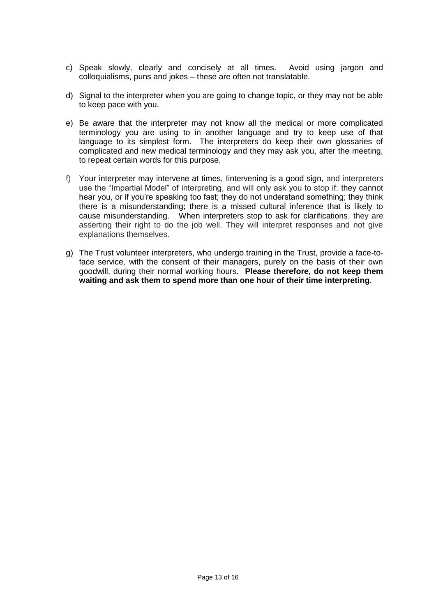- c) Speak slowly, clearly and concisely at all times. Avoid using jargon and colloquialisms, puns and jokes – these are often not translatable.
- d) Signal to the interpreter when you are going to change topic, or they may not be able to keep pace with you.
- e) Be aware that the interpreter may not know all the medical or more complicated terminology you are using to in another language and try to keep use of that language to its simplest form. The interpreters do keep their own glossaries of complicated and new medical terminology and they may ask you, after the meeting, to repeat certain words for this purpose.
- f) Your interpreter may intervene at times, Iintervening is a good sign, and interpreters use the "Impartial Model" of interpreting, and will only ask you to stop if: they cannot hear you, or if you're speaking too fast; they do not understand something; they think there is a misunderstanding; there is a missed cultural inference that is likely to cause misunderstanding. When interpreters stop to ask for clarifications, they are asserting their right to do the job well. They will interpret responses and not give explanations themselves.
- g) The Trust volunteer interpreters, who undergo training in the Trust, provide a face-toface service, with the consent of their managers, purely on the basis of their own goodwill, during their normal working hours. **Please therefore, do not keep them waiting and ask them to spend more than one hour of their time interpreting**.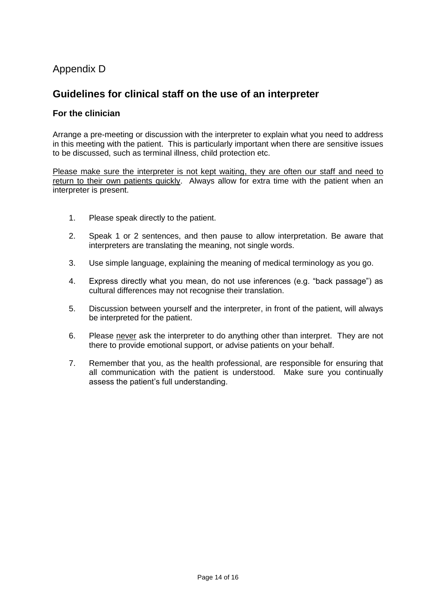### Appendix D

### **Guidelines for clinical staff on the use of an interpreter**

#### **For the clinician**

Arrange a pre-meeting or discussion with the interpreter to explain what you need to address in this meeting with the patient. This is particularly important when there are sensitive issues to be discussed, such as terminal illness, child protection etc.

Please make sure the interpreter is not kept waiting, they are often our staff and need to return to their own patients quickly. Always allow for extra time with the patient when an interpreter is present.

- 1. Please speak directly to the patient.
- 2. Speak 1 or 2 sentences, and then pause to allow interpretation. Be aware that interpreters are translating the meaning, not single words.
- 3. Use simple language, explaining the meaning of medical terminology as you go.
- 4. Express directly what you mean, do not use inferences (e.g. "back passage") as cultural differences may not recognise their translation.
- 5. Discussion between yourself and the interpreter, in front of the patient, will always be interpreted for the patient.
- 6. Please never ask the interpreter to do anything other than interpret. They are not there to provide emotional support, or advise patients on your behalf.
- 7. Remember that you, as the health professional, are responsible for ensuring that all communication with the patient is understood. Make sure you continually assess the patient's full understanding.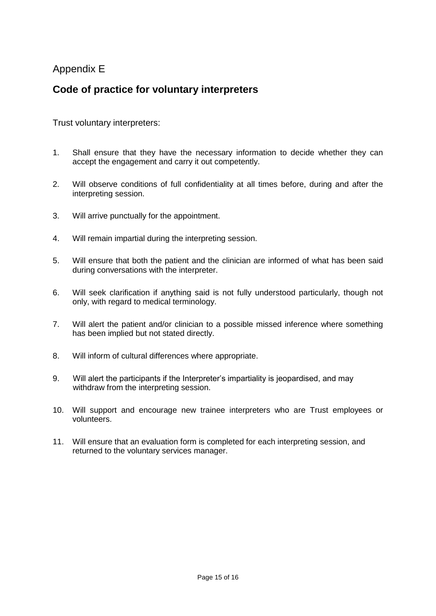### Appendix E

### **Code of practice for voluntary interpreters**

Trust voluntary interpreters:

- 1. Shall ensure that they have the necessary information to decide whether they can accept the engagement and carry it out competently.
- 2. Will observe conditions of full confidentiality at all times before, during and after the interpreting session.
- 3. Will arrive punctually for the appointment.
- 4. Will remain impartial during the interpreting session.
- 5. Will ensure that both the patient and the clinician are informed of what has been said during conversations with the interpreter.
- 6. Will seek clarification if anything said is not fully understood particularly, though not only, with regard to medical terminology.
- 7. Will alert the patient and/or clinician to a possible missed inference where something has been implied but not stated directly.
- 8. Will inform of cultural differences where appropriate.
- 9. Will alert the participants if the Interpreter's impartiality is jeopardised, and may withdraw from the interpreting session.
- 10. Will support and encourage new trainee interpreters who are Trust employees or volunteers.
- 11. Will ensure that an evaluation form is completed for each interpreting session, and returned to the voluntary services manager.